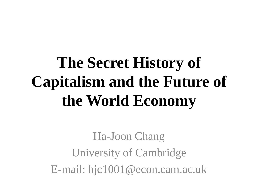### **The Secret History of Capitalism and the Future of the World Economy**

Ha-Joon Chang University of Cambridge E-mail: hjc1001@econ.cam.ac.uk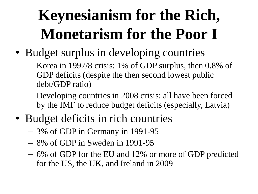## **Keynesianism for the Rich, Monetarism for the Poor I**

- Budget surplus in developing countries
	- Korea in 1997/8 crisis: 1% of GDP surplus, then 0.8% of GDP deficits (despite the then second lowest public debt/GDP ratio)
	- Developing countries in 2008 crisis: all have been forced by the IMF to reduce budget deficits (especially, Latvia)
- Budget deficits in rich countries
	- 3% of GDP in Germany in 1991-95
	- 8% of GDP in Sweden in 1991-95
	- 6% of GDP for the EU and 12% or more of GDP predicted for the US, the UK, and Ireland in 2009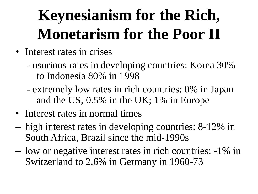## **Keynesianism for the Rich, Monetarism for the Poor II**

- Interest rates in crises
	- usurious rates in developing countries: Korea 30% to Indonesia 80% in 1998
	- extremely low rates in rich countries: 0% in Japan and the US, 0.5% in the UK; 1% in Europe
- Interest rates in normal times
- high interest rates in developing countries: 8-12% in South Africa, Brazil since the mid-1990s
- low or negative interest rates in rich countries: -1% in Switzerland to 2.6% in Germany in 1960-73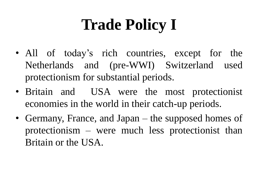### **Trade Policy I**

- All of today's rich countries, except for the Netherlands and (pre-WWI) Switzerland used protectionism for substantial periods.
- Britain and USA were the most protectionist economies in the world in their catch-up periods.
- Germany, France, and Japan the supposed homes of protectionism – were much less protectionist than Britain or the USA.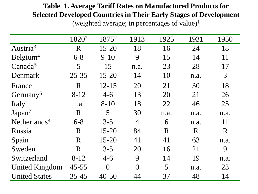#### **Table 1. Average Tariff Rates on Manufactured Products for Selected Developed Countries in Their Early Stages of Development**

|                          | 1820 <sup>2</sup> | 1875 <sup>2</sup> | 1913           | 1925 | 1931        | 1950 |
|--------------------------|-------------------|-------------------|----------------|------|-------------|------|
| Austria <sup>3</sup>     | R                 | $15 - 20$         | 18             | 16   | 24          | 18   |
| Belgium <sup>4</sup>     | $6 - 8$           | $9 - 10$          | 9              | 15   | 14          | 11   |
| Canada <sup>5</sup>      | 5                 | 15                | n.a.           | 23   | 28          | 17   |
| Denmark                  | $25 - 35$         | $15 - 20$         | 14             | 10   | n.a.        | 3    |
| France                   | R                 | $12 - 15$         | 20             | 21   | 30          | 18   |
| Germany <sup>6</sup>     | $8 - 12$          | $4-6$             | 13             | 20   | 21          | 26   |
| Italy                    | n.a.              | $8 - 10$          | 18             | 22   | 46          | 25   |
| Japan <sup>7</sup>       | R                 | 5                 | 30             | n.a. | n.a.        | n.a. |
| Netherlands <sup>4</sup> | $6 - 8$           | $3 - 5$           | $\overline{4}$ | 6    | n.a.        | 11   |
| Russia                   | R                 | $15 - 20$         | 84             | R    | $\mathbf R$ | R    |
| Spain                    | R                 | $15 - 20$         | 41             | 41   | 63          | n.a. |
| Sweden                   | R                 | $3 - 5$           | 20             | 16   | 21          | 9    |
| Switzerland              | $8 - 12$          | $4-6$             | 9              | 14   | 19          | n.a. |
| <b>United Kingdom</b>    | $45 - 55$         | $\theta$          | $\Omega$       | 5    | n.a.        | 23   |
| <b>United States</b>     | $35 - 45$         | $40 - 50$         | 44             | 37   | 48          | 14   |

(weighted average; in percentages of value)<sup>1</sup>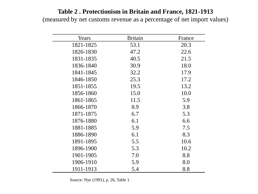#### **Table 2 . Protectionism in Britain and France, 1821-1913**

(measured by net customs revenue as a percentage of net import values)

| Years     | <b>Britain</b> | France |
|-----------|----------------|--------|
| 1821-1825 | 53.1           | 20.3   |
| 1826-1830 | 47.2           | 22.6   |
| 1831-1835 | 40.5           | 21.5   |
| 1836-1840 | 30.9           | 18.0   |
| 1841-1845 | 32.2           | 17.9   |
| 1846-1850 | 25.3           | 17.2   |
| 1851-1855 | 19.5           | 13.2   |
| 1856-1860 | 15.0           | 10.0   |
| 1861-1865 | 11.5           | 5.9    |
| 1866-1870 | 8.9            | 3.8    |
| 1871-1875 | 6.7            | 5.3    |
| 1876-1880 | 6.1            | 6.6    |
| 1881-1885 | 5.9            | 7.5    |
| 1886-1890 | 6.1            | 8.3    |
| 1891-1895 | 5.5            | 10.6   |
| 1896-1900 | 5.3            | 10.2   |
| 1901-1905 | 7.0            | 8.8    |
| 1906-1910 | 5.9            | 8.0    |
| 1911-1913 | 5.4            | 8.8    |

Source: Nye (1991), p. 26, Table 1.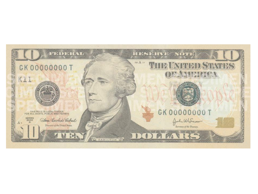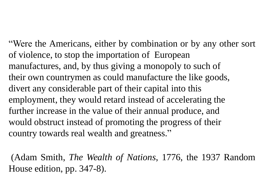"Were the Americans, either by combination or by any other sort of violence, to stop the importation of European manufactures, and, by thus giving a monopoly to such of their own countrymen as could manufacture the like goods, divert any considerable part of their capital into this employment, they would retard instead of accelerating the further increase in the value of their annual produce, and would obstruct instead of promoting the progress of their country towards real wealth and greatness."

(Adam Smith, *The Wealth of Nations*, 1776, the 1937 Random House edition, pp. 347-8).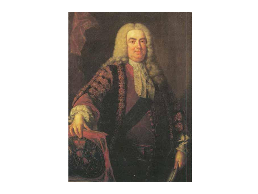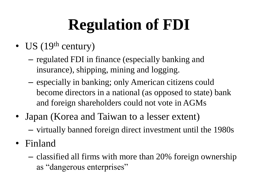## **Regulation of FDI**

- US  $(19<sup>th</sup>$  century)
	- regulated FDI in finance (especially banking and insurance), shipping, mining and logging.
	- especially in banking; only American citizens could become directors in a national (as opposed to state) bank and foreign shareholders could not vote in AGMs
- Japan (Korea and Taiwan to a lesser extent)
	- virtually banned foreign direct investment until the 1980s
- Finland
	- classified all firms with more than 20% foreign ownership as "dangerous enterprises"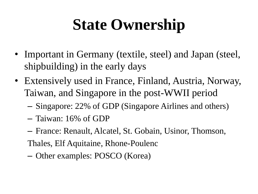### **State Ownership**

- Important in Germany (textile, steel) and Japan (steel, shipbuilding) in the early days
- Extensively used in France, Finland, Austria, Norway, Taiwan, and Singapore in the post-WWII period
	- Singapore: 22% of GDP (Singapore Airlines and others)
	- Taiwan: 16% of GDP
	- France: Renault, Alcatel, St. Gobain, Usinor, Thomson,
	- Thales, Elf Aquitaine, Rhone-Poulenc
	- Other examples: POSCO (Korea)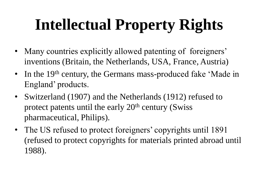### **Intellectual Property Rights**

- Many countries explicitly allowed patenting of foreigners' inventions (Britain, the Netherlands, USA, France, Austria)
- In the 19<sup>th</sup> century, the Germans mass-produced fake 'Made in England' products.
- Switzerland (1907) and the Netherlands (1912) refused to protect patents until the early  $20<sup>th</sup>$  century (Swiss pharmaceutical, Philips).
- The US refused to protect foreigners' copyrights until 1891 (refused to protect copyrights for materials printed abroad until 1988).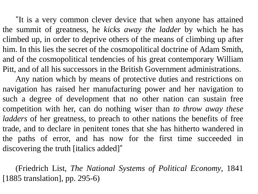"It is a very common clever device that when anyone has attained the summit of greatness, he *kicks away the ladder* by which he has climbed up, in order to deprive others of the means of climbing up after him. In this lies the secret of the cosmopolitical doctrine of Adam Smith, and of the cosmopolitical tendencies of his great contemporary William Pitt, and of all his successors in the British Government administrations.

Any nation which by means of protective duties and restrictions on navigation has raised her manufacturing power and her navigation to such a degree of development that no other nation can sustain free competition with her, can do nothing wiser than *to throw away these ladders* of her greatness, to preach to other nations the benefits of free trade, and to declare in penitent tones that she has hitherto wandered in the paths of error, and has now for the first time succeeded in discovering the truth [italics added]"

(Friedrich List, *The National Systems of Political Economy*, 1841 [1885 translation], pp. 295-6)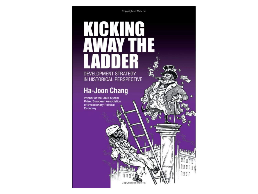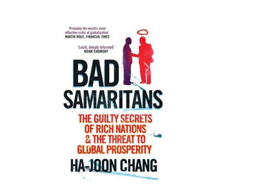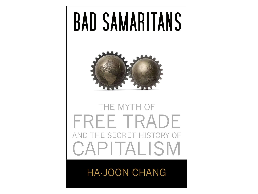# **BAD SAMARITANS**



#### THE MYTH OF FREE TRADE AND THE SECRET HISTORY OF CAPITALISM

**HA-JOON CHANG**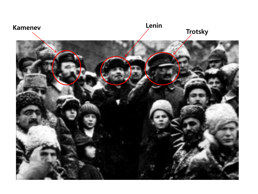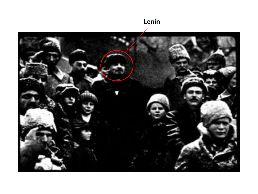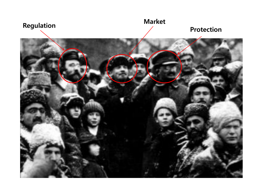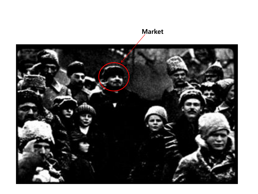#### **Market**

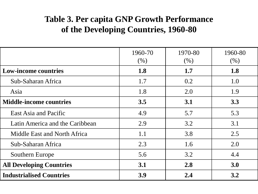#### **Table 3. Per capita GNP Growth Performance of the Developing Countries, 1960-80**

|                                 | 1960-70<br>(% ) | 1970-80<br>(% ) | 1960-80<br>(% ) |
|---------------------------------|-----------------|-----------------|-----------------|
| <b>Low-income countries</b>     | 1.8             | 1.7             | <b>1.8</b>      |
| Sub-Saharan Africa              | 1.7             | 0.2             | 1.0             |
| Asia                            | 1.8             | 2.0             | 1.9             |
| <b>Middle-income countries</b>  | 3.5             | 3.1             | 3.3             |
| East Asia and Pacific           | 4.9             | 5.7             | 5.3             |
| Latin America and the Caribbean | 2.9             | 3.2             | 3.1             |
| Middle East and North Africa    | 1.1             | 3.8             | 2.5             |
| Sub-Saharan Africa              | 2.3             | 1.6             | 2.0             |
| Southern Europe                 | 5.6             | 3.2             | 4.4             |
| <b>All Developing Countries</b> | 3.1             | 2.8             | 3.0             |
| <b>Industrialised Countries</b> | <b>3.9</b>      | 2.4             | 3.2             |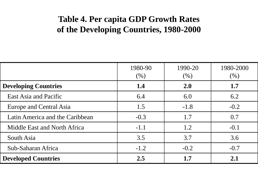#### **Table 4. Per capita GDP Growth Rates of the Developing Countries, 1980-2000**

|                                 | 1980-90<br>(% ) | 1990-20<br>(% ) | 1980-2000<br>(% ) |
|---------------------------------|-----------------|-----------------|-------------------|
| <b>Developing Countries</b>     | 1.4             | 2.0             | 1.7               |
| East Asia and Pacific           | 6.4             | 6.0             | 6.2               |
| Europe and Central Asia         | 1.5             | $-1.8$          | $-0.2$            |
| Latin America and the Caribbean | $-0.3$          | 1.7             | 0.7               |
| Middle East and North Africa    | $-1.1$          | 1.2             | $-0.1$            |
| South Asia                      | 3.5             | 3.7             | 3.6               |
| Sub-Saharan Africa              | $-1.2$          | $-0.2$          | $-0.7$            |
| <b>Developed Countries</b>      | 2.5             | 1.7             | 2.1               |